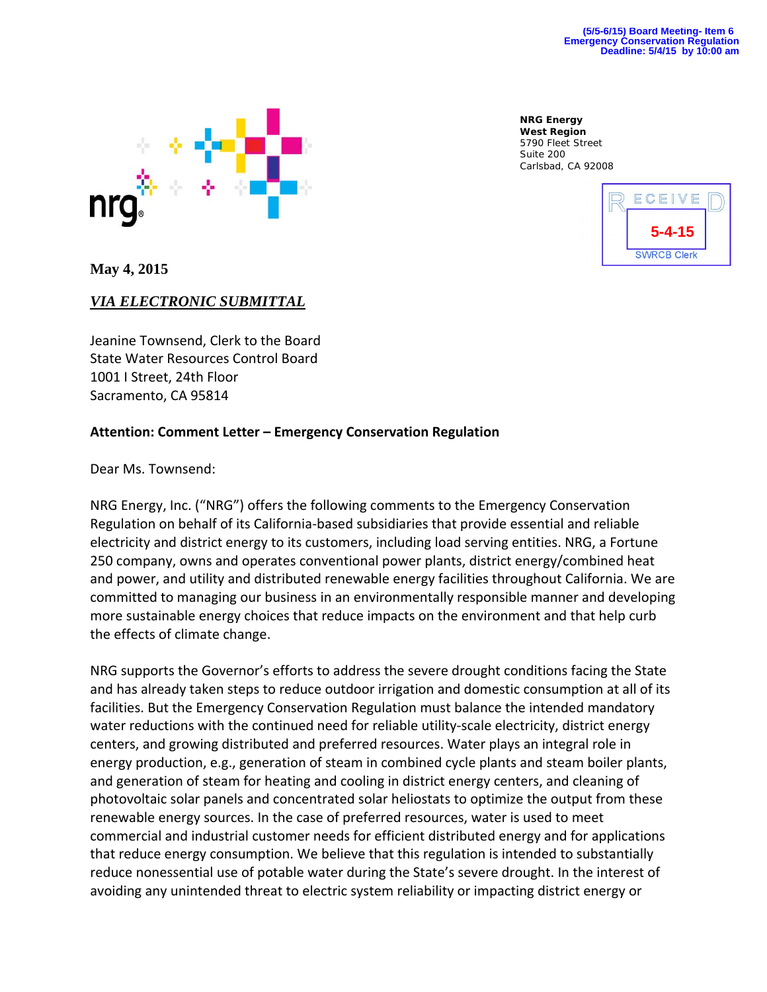

**NRG Energy West Region**  5790 Fleet Street Suite 200 Carlsbad, CA 92008



**May 4, 2015** 

## *VIA ELECTRONIC SUBMITTAL*

Jeanine Townsend, Clerk to the Board State Water Resources Control Board 1001 I Street, 24th Floor Sacramento, CA 95814

## **Attention: Comment Letter – Emergency Conservation Regulation**

Dear Ms. Townsend:

NRG Energy, Inc. ("NRG") offers the following comments to the Emergency Conservation Regulation on behalf of its California‐based subsidiaries that provide essential and reliable electricity and district energy to its customers, including load serving entities. NRG, a Fortune 250 company, owns and operates conventional power plants, district energy/combined heat and power, and utility and distributed renewable energy facilities throughout California. We are committed to managing our business in an environmentally responsible manner and developing more sustainable energy choices that reduce impacts on the environment and that help curb the effects of climate change.

NRG supports the Governor's efforts to address the severe drought conditions facing the State and has already taken steps to reduce outdoor irrigation and domestic consumption at all of its facilities. But the Emergency Conservation Regulation must balance the intended mandatory water reductions with the continued need for reliable utility-scale electricity, district energy centers, and growing distributed and preferred resources. Water plays an integral role in energy production, e.g., generation of steam in combined cycle plants and steam boiler plants, and generation of steam for heating and cooling in district energy centers, and cleaning of photovoltaic solar panels and concentrated solar heliostats to optimize the output from these renewable energy sources. In the case of preferred resources, water is used to meet commercial and industrial customer needs for efficient distributed energy and for applications that reduce energy consumption. We believe that this regulation is intended to substantially reduce nonessential use of potable water during the State's severe drought. In the interest of avoiding any unintended threat to electric system reliability or impacting district energy or